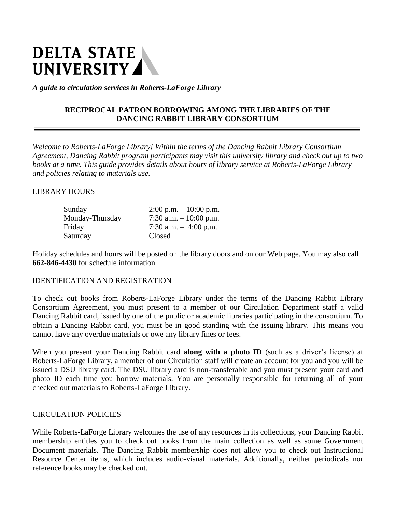# DELTA STATE<br>UNIVERSITY

*A guide to circulation services in Roberts-LaForge Library*

# **RECIPROCAL PATRON BORROWING AMONG THE LIBRARIES OF THE DANCING RABBIT LIBRARY CONSORTIUM**

*Welcome to Roberts-LaForge Library! Within the terms of the Dancing Rabbit Library Consortium Agreement, Dancing Rabbit program participants may visit this university library and check out up to two books at a time. This guide provides details about hours of library service at Roberts-LaForge Library and policies relating to materials use.*

### LIBRARY HOURS

| Sunday          | $2:00 \text{ p.m.} - 10:00 \text{ p.m.}$ |
|-----------------|------------------------------------------|
| Monday-Thursday | 7:30 a.m. $-10:00$ p.m.                  |
| Friday          | 7:30 a.m. $-4:00$ p.m.                   |
| Saturday        | Closed                                   |

Holiday schedules and hours will be posted on the library doors and on our Web page. You may also call **662-846-4430** for schedule information.

#### IDENTIFICATION AND REGISTRATION

To check out books from Roberts-LaForge Library under the terms of the Dancing Rabbit Library Consortium Agreement, you must present to a member of our Circulation Department staff a valid Dancing Rabbit card, issued by one of the public or academic libraries participating in the consortium. To obtain a Dancing Rabbit card, you must be in good standing with the issuing library. This means you cannot have any overdue materials or owe any library fines or fees.

When you present your Dancing Rabbit card **along with a photo ID** (such as a driver's license) at Roberts-LaForge Library, a member of our Circulation staff will create an account for you and you will be issued a DSU library card. The DSU library card is non-transferable and you must present your card and photo ID each time you borrow materials. You are personally responsible for returning all of your checked out materials to Roberts-LaForge Library.

#### CIRCULATION POLICIES

While Roberts-LaForge Library welcomes the use of any resources in its collections, your Dancing Rabbit membership entitles you to check out books from the main collection as well as some Government Document materials. The Dancing Rabbit membership does not allow you to check out Instructional Resource Center items, which includes audio-visual materials. Additionally, neither periodicals nor reference books may be checked out.